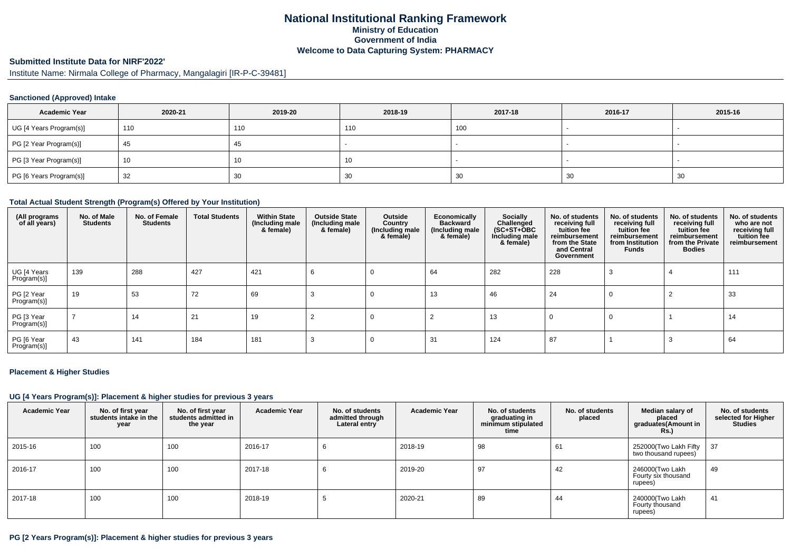## **National Institutional Ranking FrameworkMinistry of Education Government of IndiaWelcome to Data Capturing System: PHARMACY**

# **Submitted Institute Data for NIRF'2022'**

Institute Name: Nirmala College of Pharmacy, Mangalagiri [IR-P-C-39481]

### **Sanctioned (Approved) Intake**

| <b>Academic Year</b>    | 2020-21 | 2019-20 | 2018-19 | 2017-18 | 2016-17 | 2015-16                  |
|-------------------------|---------|---------|---------|---------|---------|--------------------------|
| UG [4 Years Program(s)] | 110     | 110     | 110     | 100     |         | $\overline{\phantom{a}}$ |
| PG [2 Year Program(s)]  | 45      | 45      |         |         |         |                          |
| PG [3 Year Program(s)]  | 10      | 1 U     | 10      |         |         | $\overline{\phantom{a}}$ |
| PG [6 Years Program(s)] | 32      | 30      | 30      | 30      | 30      | 30                       |

#### **Total Actual Student Strength (Program(s) Offered by Your Institution)**

| (All programs<br>of all years) | No. of Male<br><b>Students</b> | No. of Female<br><b>Students</b> | <b>Total Students</b> | <b>Within State</b><br>(Including male<br>& female) | <b>Outside State</b><br>(Including male<br>& female) | Outside<br>Country<br>(Including male)<br>& female) | Economically<br><b>Backward</b><br>(Including male<br>& female) | Socially<br>Challenged<br>$(SC+ST+OBC)$<br>Including male<br>& female) | No. of students<br>receiving full<br>tuition fee<br>reimbursement<br>from the State<br>and Central<br>Government | No. of students<br>receiving full<br>tuition fee<br>reimbursement<br>from Institution<br>Funds | No. of students<br>receiving full<br>tuition fee<br>reimbursement<br>from the Private<br><b>Bodies</b> | No. of students<br>who are not<br>receiving full<br>tuition fee<br>reimbursement |
|--------------------------------|--------------------------------|----------------------------------|-----------------------|-----------------------------------------------------|------------------------------------------------------|-----------------------------------------------------|-----------------------------------------------------------------|------------------------------------------------------------------------|------------------------------------------------------------------------------------------------------------------|------------------------------------------------------------------------------------------------|--------------------------------------------------------------------------------------------------------|----------------------------------------------------------------------------------|
| UG [4 Years<br>Program(s)]     | 139                            | 288                              | 427                   | 421                                                 | -6                                                   |                                                     | 64                                                              | 282                                                                    | 228                                                                                                              |                                                                                                |                                                                                                        | 111                                                                              |
| PG [2 Year<br>Program(s)]      | 19                             | 53                               | 72                    | 69                                                  | З                                                    |                                                     | 13                                                              | 46                                                                     | 24                                                                                                               | 0                                                                                              |                                                                                                        | 33                                                                               |
| PG [3 Year<br>Program(s)]      |                                | 14                               | 21                    | 19                                                  |                                                      | 0                                                   |                                                                 | 13                                                                     |                                                                                                                  | 0                                                                                              |                                                                                                        | 14                                                                               |
| PG [6 Year<br>Program(s)]      | 43                             | 141                              | 184                   | 181                                                 |                                                      |                                                     | 31                                                              | 124                                                                    | 87                                                                                                               |                                                                                                |                                                                                                        | 64                                                                               |

#### **Placement & Higher Studies**

#### **UG [4 Years Program(s)]: Placement & higher studies for previous 3 years**

| <b>Academic Year</b> | No. of first year<br>students intake in the<br>year | No. of first year<br>students admitted in<br>the year | <b>Academic Year</b> | No. of students<br>admitted through<br>Lateral entry | <b>Academic Year</b> | No. of students<br>graduating in<br>minimum stipulated<br>time | No. of students<br>placed | Median salary of<br>placed<br>graduates(Amount in<br><b>Rs.</b> ) | No. of students<br>selected for Higher<br><b>Studies</b> |
|----------------------|-----------------------------------------------------|-------------------------------------------------------|----------------------|------------------------------------------------------|----------------------|----------------------------------------------------------------|---------------------------|-------------------------------------------------------------------|----------------------------------------------------------|
| 2015-16              | 100                                                 | 100                                                   | 2016-17              |                                                      | 2018-19              | 98                                                             | 61                        | 252000(Two Lakh Fifty<br>two thousand rupees)                     | - 37                                                     |
| 2016-17              | 100                                                 | 100                                                   | 2017-18              |                                                      | 2019-20              | 97                                                             | 42                        | 246000(Two Lakh<br>Fourty six thousand<br>rupees)                 | 49                                                       |
| $2017 - 18$          | 100                                                 | 100                                                   | 2018-19              |                                                      | 2020-21              | 89                                                             | 44                        | 240000(Two Lakh<br>Fourty thousand<br>rupees)                     | 41                                                       |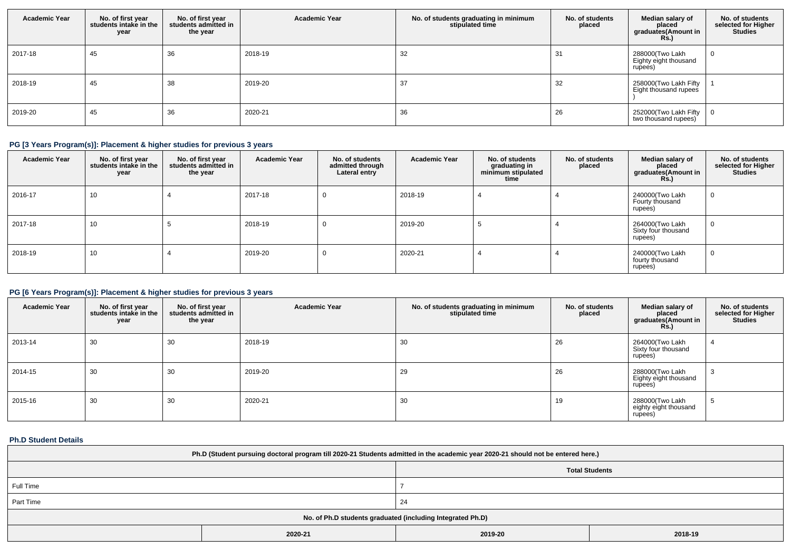| <b>Academic Year</b> | No. of first year<br>students intake in the<br>year | No. of first year<br>students admitted in<br>the year | <b>Academic Year</b> | No. of students graduating in minimum<br>stipulated time | No. of students<br>placed | Median salary of<br>placed<br>graduates(Amount in<br><b>Rs.)</b> | No. of students<br>selected for Higher<br><b>Studies</b> |
|----------------------|-----------------------------------------------------|-------------------------------------------------------|----------------------|----------------------------------------------------------|---------------------------|------------------------------------------------------------------|----------------------------------------------------------|
| 2017-18              | 45                                                  | 36                                                    | 2018-19              | 32                                                       | -31                       | 288000(Two Lakh<br>Eighty eight thousand<br>rupees)              |                                                          |
| 2018-19              | 45                                                  | 38                                                    | 2019-20              | 37                                                       | 32                        | 258000(Two Lakh Fifty<br>Eight thousand rupees                   |                                                          |
| 2019-20              | 45                                                  | 36                                                    | 2020-21              | 36                                                       | 26                        | 252000(Two Lakh Fifty<br>two thousand rupees)                    |                                                          |

# **PG [3 Years Program(s)]: Placement & higher studies for previous 3 years**

| <b>Academic Year</b> | No. of first year<br>students intake in the<br>year | No. of first year<br>students admitted in<br>the year | <b>Academic Year</b> | No. of students<br>admitted through<br>Lateral entry | <b>Academic Year</b> | No. of students<br>graduating in<br>minimum stipulated<br>time | No. of students<br>placed | Median salary of<br>placed<br>graduates(Amount in<br><b>Rs.</b> ) | No. of students<br>selected for Higher<br><b>Studies</b> |
|----------------------|-----------------------------------------------------|-------------------------------------------------------|----------------------|------------------------------------------------------|----------------------|----------------------------------------------------------------|---------------------------|-------------------------------------------------------------------|----------------------------------------------------------|
| 2016-17              | 10                                                  |                                                       | 2017-18              | $\mathbf{0}$                                         | 2018-19              |                                                                |                           | 240000(Two Lakh<br>Fourty thousand<br>rupees)                     | $\overline{0}$                                           |
| 2017-18              | 10                                                  |                                                       | 2018-19              | $\mathbf{0}$                                         | 2019-20              |                                                                |                           | 264000(Two Lakh<br>Sixty four thousand<br>rupees)                 | $\overline{0}$                                           |
| 2018-19              | 10                                                  |                                                       | 2019-20              | 0                                                    | 2020-21              |                                                                |                           | 240000(Two Lakh<br>fourty thousand<br>rupees)                     | $\overline{0}$                                           |

## **PG [6 Years Program(s)]: Placement & higher studies for previous 3 years**

| <b>Academic Year</b> | No. of first year<br>students intake in the<br>year | No. of first year<br>students admitted in<br>the year | <b>Academic Year</b> | No. of students graduating in minimum<br>stipulated time | No. of students<br>placed | Median salary of<br>placed<br>graduates(Amount in<br><b>Rs.)</b> | No. of students<br>selected for Higher<br><b>Studies</b> |
|----------------------|-----------------------------------------------------|-------------------------------------------------------|----------------------|----------------------------------------------------------|---------------------------|------------------------------------------------------------------|----------------------------------------------------------|
| 2013-14              | 30                                                  | 30                                                    | 2018-19              | 30                                                       | 26                        | 264000(Two Lakh<br>Sixty four thousand<br>rupees)                |                                                          |
| 2014-15              | 30                                                  | 30                                                    | 2019-20              | 29                                                       | 26                        | 288000(Two Lakh<br>Eighty eight thousand<br>rupees)              | - 0                                                      |
| 2015-16              | 30                                                  | 30                                                    | 2020-21              | 30                                                       | 19                        | 288000(Two Lakh<br>eighty eight thousand<br>rupees)              |                                                          |

## **Ph.D Student Details**

| Ph.D (Student pursuing doctoral program till 2020-21 Students admitted in the academic year 2020-21 should not be entered here.) |                       |                    |  |  |  |
|----------------------------------------------------------------------------------------------------------------------------------|-----------------------|--------------------|--|--|--|
|                                                                                                                                  | <b>Total Students</b> |                    |  |  |  |
| Full Time                                                                                                                        |                       |                    |  |  |  |
| Part Time                                                                                                                        |                       | -24                |  |  |  |
| No. of Ph.D students graduated (including Integrated Ph.D)                                                                       |                       |                    |  |  |  |
|                                                                                                                                  | 2020-21               | 2018-19<br>2019-20 |  |  |  |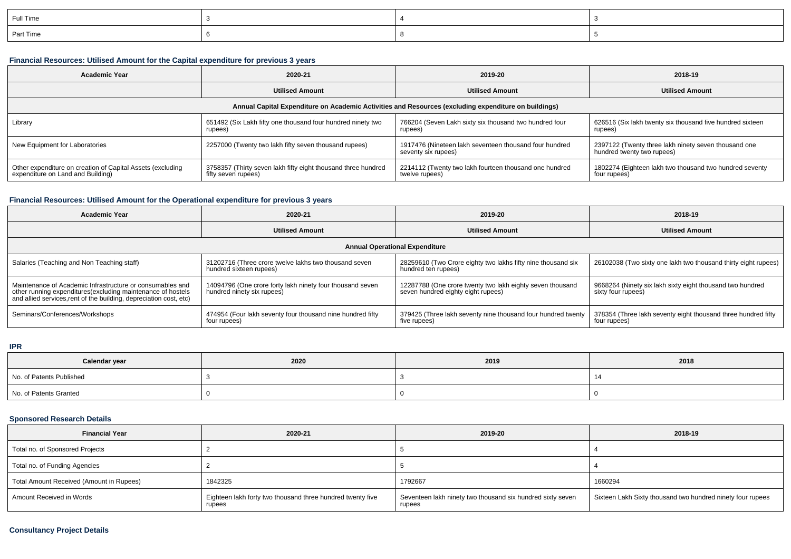| Full Time |  |  |
|-----------|--|--|
| Part Time |  |  |

### **Financial Resources: Utilised Amount for the Capital expenditure for previous 3 years**

| <b>Academic Year</b>                                                                                 | 2020-21                                                                              | 2019-20                                                                       | 2018-19                                                                            |  |  |  |  |
|------------------------------------------------------------------------------------------------------|--------------------------------------------------------------------------------------|-------------------------------------------------------------------------------|------------------------------------------------------------------------------------|--|--|--|--|
|                                                                                                      | <b>Utilised Amount</b>                                                               | <b>Utilised Amount</b>                                                        | <b>Utilised Amount</b>                                                             |  |  |  |  |
| Annual Capital Expenditure on Academic Activities and Resources (excluding expenditure on buildings) |                                                                                      |                                                                               |                                                                                    |  |  |  |  |
| Library                                                                                              | 651492 (Six Lakh fifty one thousand four hundred ninety two<br>rupees)               | 766204 (Seven Lakh sixty six thousand two hundred four<br>rupees)             | 626516 (Six lakh twenty six thousand five hundred sixteen<br>rupees)               |  |  |  |  |
| New Equipment for Laboratories                                                                       | 2257000 (Twenty two lakh fifty seven thousand rupees)                                | 1917476 (Nineteen lakh seventeen thousand four hundred<br>seventy six rupees) | 2397122 (Twenty three lakh ninety seven thousand one<br>hundred twenty two rupees) |  |  |  |  |
| Other expenditure on creation of Capital Assets (excluding<br>expenditure on Land and Building)      | 3758357 (Thirty seven lakh fifty eight thousand three hundred<br>fifty seven rupees) | 2214112 (Twenty two lakh fourteen thousand one hundred<br>twelve rupees)      | 1802274 (Eighteen lakh two thousand two hundred seventy<br>four rupees)            |  |  |  |  |

## **Financial Resources: Utilised Amount for the Operational expenditure for previous 3 years**

| <b>Academic Year</b>                                                                                                                                                                            | 2020-21                                                                                 | 2019-20                                                                                         | 2018-19                                                                         |  |  |  |  |
|-------------------------------------------------------------------------------------------------------------------------------------------------------------------------------------------------|-----------------------------------------------------------------------------------------|-------------------------------------------------------------------------------------------------|---------------------------------------------------------------------------------|--|--|--|--|
|                                                                                                                                                                                                 | <b>Utilised Amount</b>                                                                  | <b>Utilised Amount</b>                                                                          | <b>Utilised Amount</b>                                                          |  |  |  |  |
| <b>Annual Operational Expenditure</b>                                                                                                                                                           |                                                                                         |                                                                                                 |                                                                                 |  |  |  |  |
| Salaries (Teaching and Non Teaching staff)                                                                                                                                                      | 31202716 (Three crore twelve lakhs two thousand seven<br>hundred sixteen rupees)        | 28259610 (Two Crore eighty two lakhs fifty nine thousand six<br>hundred ten rupees)             | 26102038 (Two sixty one lakh two thousand thirty eight rupees)                  |  |  |  |  |
| Maintenance of Academic Infrastructure or consumables and<br>other running expenditures (excluding maintenance of hostels<br>and allied services, rent of the building, depreciation cost, etc) | 14094796 (One crore forty lakh ninety four thousand seven<br>hundred ninety six rupees) | 12287788 (One crore twenty two lakh eighty seven thousand<br>seven hundred eighty eight rupees) | 9668264 (Ninety six lakh sixty eight thousand two hundred<br>sixty four rupees) |  |  |  |  |
| Seminars/Conferences/Workshops                                                                                                                                                                  | 474954 (Four lakh seventy four thousand nine hundred fifty<br>four rupees)              | 379425 (Three lakh seventy nine thousand four hundred twenty<br>five rupees)                    | 378354 (Three lakh seventy eight thousand three hundred fifty<br>four rupees)   |  |  |  |  |

#### **IPR**

| Calendar year            | 2020 | 2019 | 2018 |
|--------------------------|------|------|------|
| No. of Patents Published |      |      |      |
| No. of Patents Granted   |      |      |      |

## **Sponsored Research Details**

| <b>Financial Year</b>                    | 2020-21                                                              | 2019-20                                                              | 2018-19                                                    |
|------------------------------------------|----------------------------------------------------------------------|----------------------------------------------------------------------|------------------------------------------------------------|
| Total no. of Sponsored Projects          |                                                                      |                                                                      |                                                            |
| Total no. of Funding Agencies            |                                                                      |                                                                      |                                                            |
| Total Amount Received (Amount in Rupees) | 1842325                                                              | 1792667                                                              | 1660294                                                    |
| Amount Received in Words                 | Eighteen lakh forty two thousand three hundred twenty five<br>rupees | Seventeen lakh ninety two thousand six hundred sixty seven<br>rupees | Sixteen Lakh Sixty thousand two hundred ninety four rupees |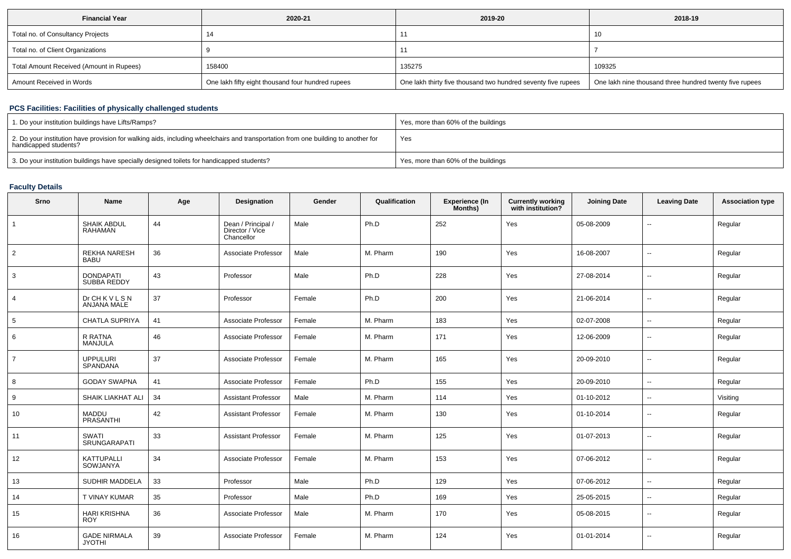| <b>Financial Year</b>                    | 2020-21                                           | 2019-20                                                       | 2018-19                                                 |
|------------------------------------------|---------------------------------------------------|---------------------------------------------------------------|---------------------------------------------------------|
| Total no. of Consultancy Projects        |                                                   |                                                               | -10                                                     |
| Total no. of Client Organizations        |                                                   |                                                               |                                                         |
| Total Amount Received (Amount in Rupees) | 158400                                            | 135275                                                        | 109325                                                  |
| Amount Received in Words                 | One lakh fifty eight thousand four hundred rupees | One lakh thirty five thousand two hundred seventy five rupees | One lakh nine thousand three hundred twenty five rupees |

## **PCS Facilities: Facilities of physically challenged students**

| 1. Do your institution buildings have Lifts/Ramps?                                                                                                         | Yes, more than 60% of the buildings |
|------------------------------------------------------------------------------------------------------------------------------------------------------------|-------------------------------------|
| 2. Do your institution have provision for walking aids, including wheelchairs and transportation from one building to another for<br>handicapped students? | Yes                                 |
| 3. Do your institution buildings have specially designed toilets for handicapped students?                                                                 | Yes, more than 60% of the buildings |

### **Faculty Details**

| Srno           | Name                                   | Age | Designation                                         | Gender | Qualification | <b>Experience (In</b><br>Months) | <b>Currently working</b><br>with institution? | <b>Joining Date</b> | <b>Leaving Date</b>      | <b>Association type</b> |
|----------------|----------------------------------------|-----|-----------------------------------------------------|--------|---------------|----------------------------------|-----------------------------------------------|---------------------|--------------------------|-------------------------|
| $\overline{1}$ | SHAIK ABDUL<br>RAHAMAN                 | 44  | Dean / Principal /<br>Director / Vice<br>Chancellor | Male   | Ph.D          | 252                              | Yes                                           | 05-08-2009          | $\overline{\phantom{a}}$ | Regular                 |
| 2              | <b>REKHA NARESH</b><br><b>BABU</b>     | 36  | Associate Professor                                 | Male   | M. Pharm      | 190                              | Yes                                           | 16-08-2007          | $\mathbf{u}$             | Regular                 |
| 3              | <b>DONDAPATI</b><br><b>SUBBA REDDY</b> | 43  | Professor                                           | Male   | Ph.D          | 228                              | Yes                                           | 27-08-2014          | $\sim$                   | Regular                 |
| 4              | <b>Dr CH K V L S N</b><br>ANJANA MALE  | 37  | Professor                                           | Female | Ph.D          | 200                              | Yes                                           | 21-06-2014          | $\overline{\phantom{a}}$ | Regular                 |
| 5              | <b>CHATLA SUPRIYA</b>                  | 41  | Associate Professor                                 | Female | M. Pharm      | 183                              | Yes                                           | 02-07-2008          | $\overline{\phantom{a}}$ | Regular                 |
| 6              | R RATNA<br><b>MANJULA</b>              | 46  | Associate Professor                                 | Female | M. Pharm      | 171                              | Yes                                           | 12-06-2009          | $\mathbf{u}$             | Regular                 |
| $\overline{7}$ | <b>UPPULURI</b><br><b>SPANDANA</b>     | 37  | Associate Professor                                 | Female | M. Pharm      | 165                              | Yes                                           | 20-09-2010          | $\overline{\phantom{a}}$ | Regular                 |
| 8              | <b>GODAY SWAPNA</b>                    | 41  | Associate Professor                                 | Female | Ph.D          | 155                              | Yes                                           | 20-09-2010          | $\overline{\phantom{a}}$ | Regular                 |
| 9              | SHAIK LIAKHAT ALI                      | 34  | <b>Assistant Professor</b>                          | Male   | M. Pharm      | 114                              | Yes                                           | 01-10-2012          | $\sim$                   | Visiting                |
| 10             | <b>MADDU</b><br><b>PRASANTHI</b>       | 42  | <b>Assistant Professor</b>                          | Female | M. Pharm      | 130                              | Yes                                           | 01-10-2014          | $\overline{\phantom{a}}$ | Regular                 |
| 11             | <b>SWATI</b><br><b>SRUNGARAPATI</b>    | 33  | <b>Assistant Professor</b>                          | Female | M. Pharm      | 125                              | Yes                                           | 01-07-2013          | $\overline{\phantom{a}}$ | Regular                 |
| 12             | <b>KATTUPALLI</b><br>SOWJANYA          | 34  | Associate Professor                                 | Female | M. Pharm      | 153                              | Yes                                           | 07-06-2012          | $\overline{\phantom{a}}$ | Regular                 |
| 13             | SUDHIR MADDELA                         | 33  | Professor                                           | Male   | Ph.D          | 129                              | Yes                                           | 07-06-2012          | $\sim$                   | Regular                 |
| 14             | T VINAY KUMAR                          | 35  | Professor                                           | Male   | Ph.D          | 169                              | Yes                                           | 25-05-2015          | $\overline{\phantom{a}}$ | Regular                 |
| 15             | <b>HARI KRISHNA</b><br><b>ROY</b>      | 36  | Associate Professor                                 | Male   | M. Pharm      | 170                              | Yes                                           | 05-08-2015          | $\mathbf{u}$             | Regular                 |
| 16             | <b>GADE NIRMALA</b><br><b>JYOTHI</b>   | 39  | Associate Professor                                 | Female | M. Pharm      | 124                              | Yes                                           | 01-01-2014          | $\overline{\phantom{a}}$ | Regular                 |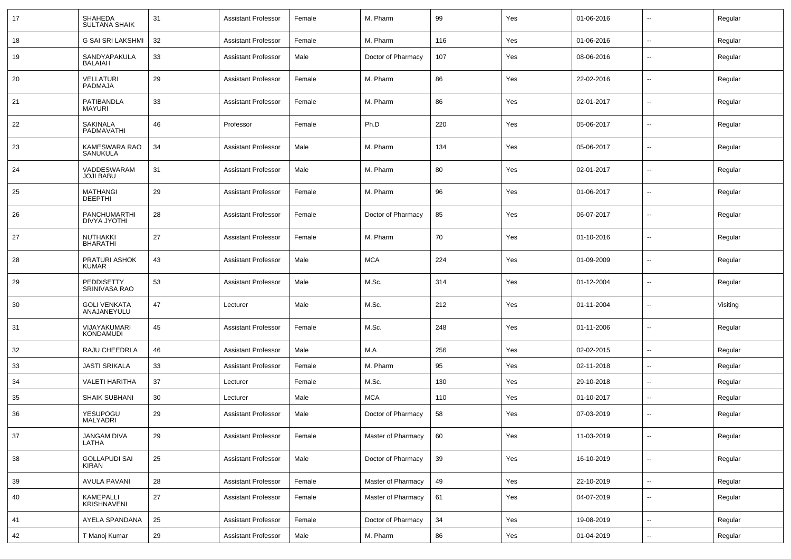| 17 | SHAHEDA<br><b>SULTANA SHAIK</b>      | 31 | <b>Assistant Professor</b> | Female | M. Pharm           | 99  | Yes | 01-06-2016 | $\overline{\phantom{a}}$ | Regular  |
|----|--------------------------------------|----|----------------------------|--------|--------------------|-----|-----|------------|--------------------------|----------|
| 18 | G SAI SRI LAKSHMI                    | 32 | <b>Assistant Professor</b> | Female | M. Pharm           | 116 | Yes | 01-06-2016 | $\sim$                   | Regular  |
| 19 | SANDYAPAKULA<br><b>BALAIAH</b>       | 33 | Assistant Professor        | Male   | Doctor of Pharmacy | 107 | Yes | 08-06-2016 | --                       | Regular  |
| 20 | <b>VELLATURI</b><br>PADMAJA          | 29 | Assistant Professor        | Female | M. Pharm           | 86  | Yes | 22-02-2016 | $\overline{\phantom{a}}$ | Regular  |
| 21 | PATIBANDLA<br>MAYURI                 | 33 | Assistant Professor        | Female | M. Pharm           | 86  | Yes | 02-01-2017 | $\overline{\phantom{a}}$ | Regular  |
| 22 | SAKINALA<br>PADMAVATHI               | 46 | Professor                  | Female | Ph.D               | 220 | Yes | 05-06-2017 | $\overline{\phantom{a}}$ | Regular  |
| 23 | KAMESWARA RAO<br><b>SANUKULA</b>     | 34 | Assistant Professor        | Male   | M. Pharm           | 134 | Yes | 05-06-2017 | $\mathbf{u}$             | Regular  |
| 24 | VADDESWARAM<br><b>JOJI BABU</b>      | 31 | Assistant Professor        | Male   | M. Pharm           | 80  | Yes | 02-01-2017 | $\overline{\phantom{a}}$ | Regular  |
| 25 | <b>MATHANGI</b><br><b>DEEPTHI</b>    | 29 | Assistant Professor        | Female | M. Pharm           | 96  | Yes | 01-06-2017 | $\overline{\phantom{a}}$ | Regular  |
| 26 | PANCHUMARTHI<br><b>DIVYA JYOTHI</b>  | 28 | Assistant Professor        | Female | Doctor of Pharmacy | 85  | Yes | 06-07-2017 | --                       | Regular  |
| 27 | <b>NUTHAKKI</b><br><b>BHARATHI</b>   | 27 | Assistant Professor        | Female | M. Pharm           | 70  | Yes | 01-10-2016 | $\overline{\phantom{a}}$ | Regular  |
| 28 | PRATURI ASHOK<br><b>KUMAR</b>        | 43 | Assistant Professor        | Male   | <b>MCA</b>         | 224 | Yes | 01-09-2009 | --                       | Regular  |
| 29 | PEDDISETTY<br>SRINIVASA RAO          | 53 | <b>Assistant Professor</b> | Male   | M.Sc.              | 314 | Yes | 01-12-2004 | $\overline{a}$           | Regular  |
| 30 | <b>GOLI VENKATA</b><br>ANAJANEYULU   | 47 | Lecturer                   | Male   | M.Sc.              | 212 | Yes | 01-11-2004 | $\overline{\phantom{a}}$ | Visiting |
| 31 | VIJAYAKUMARI<br>KONDAMUDI            | 45 | Assistant Professor        | Female | M.Sc.              | 248 | Yes | 01-11-2006 | $\overline{\phantom{a}}$ | Regular  |
| 32 | RAJU CHEEDRLA                        | 46 | <b>Assistant Professor</b> | Male   | M.A                | 256 | Yes | 02-02-2015 | $\mathbf{u}$             | Regular  |
| 33 | <b>JASTI SRIKALA</b>                 | 33 | <b>Assistant Professor</b> | Female | M. Pharm           | 95  | Yes | 02-11-2018 | $\overline{\phantom{a}}$ | Regular  |
| 34 | <b>VALETI HARITHA</b>                | 37 | Lecturer                   | Female | M.Sc.              | 130 | Yes | 29-10-2018 | $\overline{\phantom{a}}$ | Regular  |
| 35 | SHAIK SUBHANI                        | 30 | Lecturer                   | Male   | <b>MCA</b>         | 110 | Yes | 01-10-2017 | $\mathbf{u}$             | Regular  |
| 36 | YESUPOGU<br>MALYADRI                 | 29 | Assistant Professor        | Male   | Doctor of Pharmacy | 58  | Yes | 07-03-2019 | $\mathbf{u}$             | Regular  |
| 37 | <b>JANGAM DIVA</b><br>LATHA          | 29 | <b>Assistant Professor</b> | Female | Master of Pharmacy | 60  | Yes | 11-03-2019 | $\sim$                   | Regular  |
| 38 | <b>GOLLAPUDI SAI</b><br><b>KIRAN</b> | 25 | <b>Assistant Professor</b> | Male   | Doctor of Pharmacy | 39  | Yes | 16-10-2019 | $\sim$                   | Regular  |
| 39 | <b>AVULA PAVANI</b>                  | 28 | <b>Assistant Professor</b> | Female | Master of Pharmacy | 49  | Yes | 22-10-2019 | $\overline{\phantom{a}}$ | Regular  |
| 40 | KAMEPALLI<br><b>KRISHNAVENI</b>      | 27 | <b>Assistant Professor</b> | Female | Master of Pharmacy | 61  | Yes | 04-07-2019 | $\sim$                   | Regular  |
| 41 | AYELA SPANDANA                       | 25 | Assistant Professor        | Female | Doctor of Pharmacy | 34  | Yes | 19-08-2019 | $\sim$                   | Regular  |
| 42 | T Manoj Kumar                        | 29 | <b>Assistant Professor</b> | Male   | M. Pharm           | 86  | Yes | 01-04-2019 | $\sim$                   | Regular  |